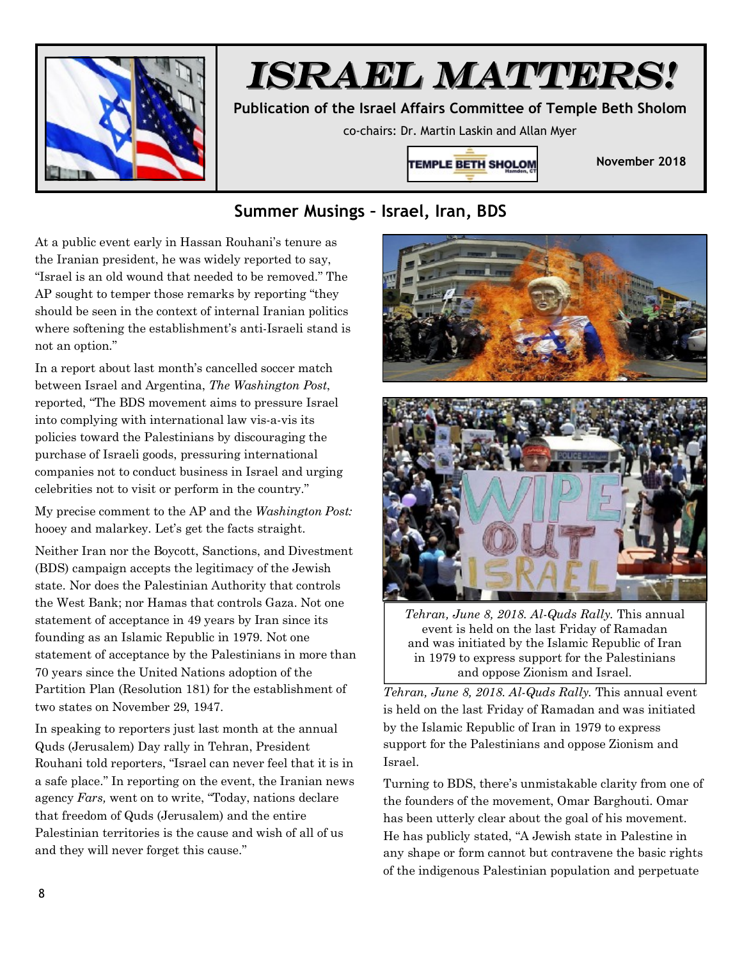

## *ISRAEL MATTERS!*

**Publication of the Israel Affairs Committee of Temple Beth Sholom** 

co-chairs: Dr. Martin Laskin and Allan Myer



**November 2018** 

## **Summer Musings – Israel, Iran, BDS**

At a public event early in Hassan Rouhani's tenure as the Iranian president, he was widely reported to say, "Israel is an old wound that needed to be removed." The AP sought to temper those remarks by reporting "they should be seen in the context of internal Iranian politics where softening the establishment's anti-Israeli stand is not an option."

In a report about last month's cancelled soccer match between Israel and Argentina, *The Washington Post*, reported, "The BDS movement aims to pressure Israel into complying with international law vis-a-vis its policies toward the Palestinians by discouraging the purchase of Israeli goods, pressuring international companies not to conduct business in Israel and urging celebrities not to visit or perform in the country."

My precise comment to the AP and the *Washington Post:*  hooey and malarkey. Let's get the facts straight.

Neither Iran nor the Boycott, Sanctions, and Divestment (BDS) campaign accepts the legitimacy of the Jewish state. Nor does the Palestinian Authority that controls the West Bank; nor Hamas that controls Gaza. Not one statement of acceptance in 49 years by Iran since its founding as an Islamic Republic in 1979. Not one statement of acceptance by the Palestinians in more than 70 years since the United Nations adoption of the Partition Plan (Resolution 181) for the establishment of two states on November 29, 1947.

In speaking to reporters just last month at the annual Quds (Jerusalem) Day rally in Tehran, President Rouhani told reporters, "Israel can never feel that it is in a safe place." In reporting on the event, the Iranian news agency *Fars,* went on to write, "Today, nations declare that freedom of Quds (Jerusalem) and the entire Palestinian territories is the cause and wish of all of us and they will never forget this cause."





*Tehran, June 8, 2018. Al-Quds Rally.* This annual event is held on the last Friday of Ramadan and was initiated by the Islamic Republic of Iran in 1979 to express support for the Palestinians and oppose Zionism and Israel.

*Tehran, June 8, 2018. Al-Quds Rally.* This annual event is held on the last Friday of Ramadan and was initiated by the Islamic Republic of Iran in 1979 to express support for the Palestinians and oppose Zionism and Israel.

Turning to BDS, there's unmistakable clarity from one of the founders of the movement, Omar Barghouti. Omar has been utterly clear about the goal of his movement. He has publicly stated, "A Jewish state in Palestine in any shape or form cannot but contravene the basic rights of the indigenous Palestinian population and perpetuate